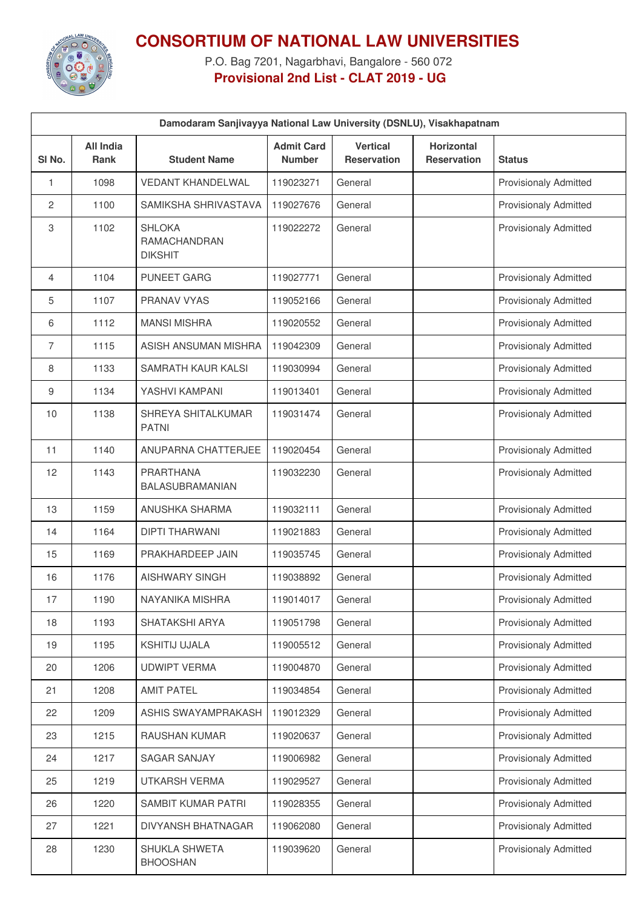

## **CONSORTIUM OF NATIONAL LAW UNIVERSITIES**

P.O. Bag 7201, Nagarbhavi, Bangalore - 560 072 **Provisional 2nd List - CLAT 2019 - UG**

| Damodaram Sanjivayya National Law University (DSNLU), Visakhapatnam |                                 |                                                 |                                    |                                       |                                         |                              |  |
|---------------------------------------------------------------------|---------------------------------|-------------------------------------------------|------------------------------------|---------------------------------------|-----------------------------------------|------------------------------|--|
| SI No.                                                              | <b>All India</b><br><b>Rank</b> | <b>Student Name</b>                             | <b>Admit Card</b><br><b>Number</b> | <b>Vertical</b><br><b>Reservation</b> | <b>Horizontal</b><br><b>Reservation</b> | <b>Status</b>                |  |
| 1                                                                   | 1098                            | <b>VEDANT KHANDELWAL</b>                        | 119023271                          | General                               |                                         | <b>Provisionaly Admitted</b> |  |
| $\overline{c}$                                                      | 1100                            | SAMIKSHA SHRIVASTAVA                            | 119027676                          | General                               |                                         | Provisionaly Admitted        |  |
| 3                                                                   | 1102                            | <b>SHLOKA</b><br>RAMACHANDRAN<br><b>DIKSHIT</b> | 119022272                          | General                               |                                         | <b>Provisionaly Admitted</b> |  |
| 4                                                                   | 1104                            | <b>PUNEET GARG</b>                              | 119027771                          | General                               |                                         | <b>Provisionaly Admitted</b> |  |
| 5                                                                   | 1107                            | <b>PRANAV VYAS</b>                              | 119052166                          | General                               |                                         | <b>Provisionaly Admitted</b> |  |
| 6                                                                   | 1112                            | <b>MANSI MISHRA</b>                             | 119020552                          | General                               |                                         | <b>Provisionaly Admitted</b> |  |
| 7                                                                   | 1115                            | ASISH ANSUMAN MISHRA                            | 119042309                          | General                               |                                         | <b>Provisionaly Admitted</b> |  |
| 8                                                                   | 1133                            | SAMRATH KAUR KALSI                              | 119030994                          | General                               |                                         | <b>Provisionaly Admitted</b> |  |
| 9                                                                   | 1134                            | YASHVI KAMPANI                                  | 119013401                          | General                               |                                         | <b>Provisionaly Admitted</b> |  |
| 10                                                                  | 1138                            | SHREYA SHITALKUMAR<br><b>PATNI</b>              | 119031474                          | General                               |                                         | <b>Provisionaly Admitted</b> |  |
| 11                                                                  | 1140                            | ANUPARNA CHATTERJEE                             | 119020454                          | General                               |                                         | <b>Provisionaly Admitted</b> |  |
| 12                                                                  | 1143                            | <b>PRARTHANA</b><br>BALASUBRAMANIAN             | 119032230                          | General                               |                                         | <b>Provisionaly Admitted</b> |  |
| 13                                                                  | 1159                            | ANUSHKA SHARMA                                  | 119032111                          | General                               |                                         | <b>Provisionaly Admitted</b> |  |
| 14                                                                  | 1164                            | <b>DIPTI THARWANI</b>                           | 119021883                          | General                               |                                         | Provisionaly Admitted        |  |
| 15                                                                  | 1169                            | PRAKHARDEEP JAIN                                | 119035745                          | General                               |                                         | Provisionaly Admitted        |  |
| 16                                                                  | 1176                            | <b>AISHWARY SINGH</b>                           | 119038892                          | General                               |                                         | <b>Provisionaly Admitted</b> |  |
| 17                                                                  | 1190                            | NAYANIKA MISHRA                                 | 119014017                          | General                               |                                         | Provisionaly Admitted        |  |
| 18                                                                  | 1193                            | SHATAKSHI ARYA                                  | 119051798                          | General                               |                                         | <b>Provisionaly Admitted</b> |  |
| 19                                                                  | 1195                            | KSHITIJ UJALA                                   | 119005512                          | General                               |                                         | Provisionaly Admitted        |  |
| 20                                                                  | 1206                            | <b>UDWIPT VERMA</b>                             | 119004870                          | General                               |                                         | <b>Provisionaly Admitted</b> |  |
| 21                                                                  | 1208                            | <b>AMIT PATEL</b>                               | 119034854                          | General                               |                                         | <b>Provisionaly Admitted</b> |  |
| 22                                                                  | 1209                            | ASHIS SWAYAMPRAKASH                             | 119012329                          | General                               |                                         | <b>Provisionaly Admitted</b> |  |
| 23                                                                  | 1215                            | RAUSHAN KUMAR                                   | 119020637                          | General                               |                                         | Provisionaly Admitted        |  |
| 24                                                                  | 1217                            | <b>SAGAR SANJAY</b>                             | 119006982                          | General                               |                                         | <b>Provisionaly Admitted</b> |  |
| 25                                                                  | 1219                            | UTKARSH VERMA                                   | 119029527                          | General                               |                                         | Provisionaly Admitted        |  |
| 26                                                                  | 1220                            | SAMBIT KUMAR PATRI                              | 119028355                          | General                               |                                         | <b>Provisionaly Admitted</b> |  |
| 27                                                                  | 1221                            | DIVYANSH BHATNAGAR                              | 119062080                          | General                               |                                         | Provisionaly Admitted        |  |
| 28                                                                  | 1230                            | SHUKLA SHWETA<br><b>BHOOSHAN</b>                | 119039620                          | General                               |                                         | Provisionaly Admitted        |  |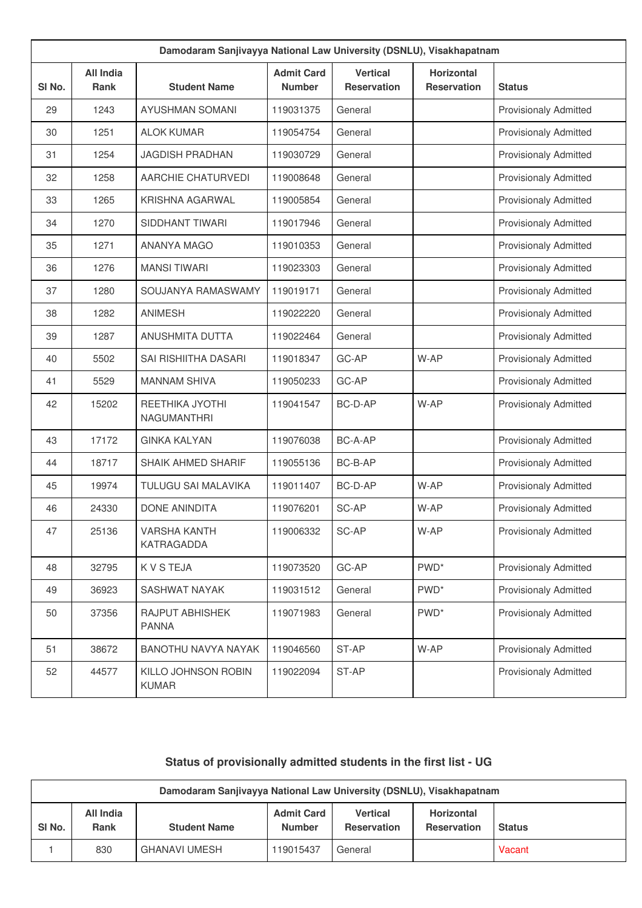| Damodaram Sanjivayya National Law University (DSNLU), Visakhapatnam |                          |                                       |                                    |                                       |                                         |                              |  |
|---------------------------------------------------------------------|--------------------------|---------------------------------------|------------------------------------|---------------------------------------|-----------------------------------------|------------------------------|--|
| SI <sub>No.</sub>                                                   | <b>All India</b><br>Rank | <b>Student Name</b>                   | <b>Admit Card</b><br><b>Number</b> | <b>Vertical</b><br><b>Reservation</b> | <b>Horizontal</b><br><b>Reservation</b> | <b>Status</b>                |  |
| 29                                                                  | 1243                     | <b>AYUSHMAN SOMANI</b>                | 119031375                          | General                               |                                         | <b>Provisionaly Admitted</b> |  |
| 30                                                                  | 1251                     | <b>ALOK KUMAR</b>                     | 119054754                          | General                               |                                         | Provisionaly Admitted        |  |
| 31                                                                  | 1254                     | <b>JAGDISH PRADHAN</b>                | 119030729                          | General                               |                                         | <b>Provisionaly Admitted</b> |  |
| 32                                                                  | 1258                     | AARCHIE CHATURVEDI                    | 119008648                          | General                               |                                         | <b>Provisionaly Admitted</b> |  |
| 33                                                                  | 1265                     | <b>KRISHNA AGARWAL</b>                | 119005854                          | General                               |                                         | <b>Provisionaly Admitted</b> |  |
| 34                                                                  | 1270                     | SIDDHANT TIWARI                       | 119017946                          | General                               |                                         | Provisionaly Admitted        |  |
| 35                                                                  | 1271                     | <b>ANANYA MAGO</b>                    | 119010353                          | General                               |                                         | <b>Provisionaly Admitted</b> |  |
| 36                                                                  | 1276                     | <b>MANSI TIWARI</b>                   | 119023303                          | General                               |                                         | Provisionaly Admitted        |  |
| 37                                                                  | 1280                     | SOUJANYA RAMASWAMY                    | 119019171                          | General                               |                                         | <b>Provisionaly Admitted</b> |  |
| 38                                                                  | 1282                     | <b>ANIMESH</b>                        | 119022220                          | General                               |                                         | Provisionaly Admitted        |  |
| 39                                                                  | 1287                     | <b>ANUSHMITA DUTTA</b>                | 119022464                          | General                               |                                         | <b>Provisionaly Admitted</b> |  |
| 40                                                                  | 5502                     | SAI RISHIITHA DASARI                  | 119018347                          | GC-AP                                 | W-AP                                    | Provisionaly Admitted        |  |
| 41                                                                  | 5529                     | <b>MANNAM SHIVA</b>                   | 119050233                          | GC-AP                                 |                                         | <b>Provisionaly Admitted</b> |  |
| 42                                                                  | 15202                    | REETHIKA JYOTHI<br><b>NAGUMANTHRI</b> | 119041547                          | BC-D-AP                               | W-AP                                    | <b>Provisionaly Admitted</b> |  |
| 43                                                                  | 17172                    | <b>GINKA KALYAN</b>                   | 119076038                          | BC-A-AP                               |                                         | <b>Provisionaly Admitted</b> |  |
| 44                                                                  | 18717                    | <b>SHAIK AHMED SHARIF</b>             | 119055136                          | BC-B-AP                               |                                         | <b>Provisionaly Admitted</b> |  |
| 45                                                                  | 19974                    | TULUGU SAI MALAVIKA                   | 119011407                          | BC-D-AP                               | W-AP                                    | <b>Provisionaly Admitted</b> |  |
| 46                                                                  | 24330                    | <b>DONE ANINDITA</b>                  | 119076201                          | SC-AP                                 | W-AP                                    | <b>Provisionaly Admitted</b> |  |
| 47                                                                  | 25136                    | <b>VARSHA KANTH</b><br>KATRAGADDA     | 119006332                          | SC-AP                                 | W-AP                                    | <b>Provisionaly Admitted</b> |  |
| 48                                                                  | 32795                    | K V S TEJA                            | 119073520                          | GC-AP                                 | PWD <sup>*</sup>                        | Provisionaly Admitted        |  |
| 49                                                                  | 36923                    | SASHWAT NAYAK                         | 119031512                          | General                               | PWD <sup>*</sup>                        | Provisionaly Admitted        |  |
| 50                                                                  | 37356                    | RAJPUT ABHISHEK<br><b>PANNA</b>       | 119071983                          | General                               | PWD <sup>*</sup>                        | Provisionaly Admitted        |  |
| 51                                                                  | 38672                    | BANOTHU NAVYA NAYAK                   | 119046560                          | ST-AP                                 | W-AP                                    | Provisionaly Admitted        |  |
| 52                                                                  | 44577                    | KILLO JOHNSON ROBIN<br><b>KUMAR</b>   | 119022094                          | ST-AP                                 |                                         | <b>Provisionaly Admitted</b> |  |

## **Status of provisionally admitted students in the first list - UG**

| Damodaram Sanjivayya National Law University (DSNLU), Visakhapatnam |                          |                      |                                    |                                       |                                         |               |  |
|---------------------------------------------------------------------|--------------------------|----------------------|------------------------------------|---------------------------------------|-----------------------------------------|---------------|--|
| SI <sub>No.</sub>                                                   | All India<br><b>Rank</b> | <b>Student Name</b>  | <b>Admit Card</b><br><b>Number</b> | <b>Vertical</b><br><b>Reservation</b> | <b>Horizontal</b><br><b>Reservation</b> | <b>Status</b> |  |
|                                                                     | 830                      | <b>GHANAVI UMESH</b> | 119015437                          | General                               |                                         | Vacant        |  |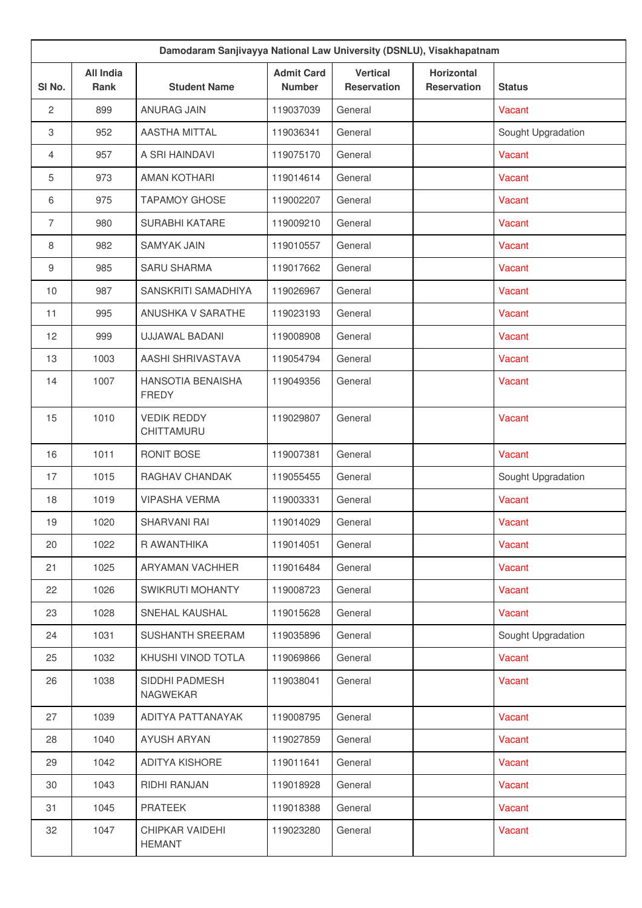| Damodaram Sanjivayya National Law University (DSNLU), Visakhapatnam |                          |                                   |                                    |                                       |                                         |                    |  |
|---------------------------------------------------------------------|--------------------------|-----------------------------------|------------------------------------|---------------------------------------|-----------------------------------------|--------------------|--|
| SI No.                                                              | <b>All India</b><br>Rank | <b>Student Name</b>               | <b>Admit Card</b><br><b>Number</b> | <b>Vertical</b><br><b>Reservation</b> | <b>Horizontal</b><br><b>Reservation</b> | <b>Status</b>      |  |
| 2                                                                   | 899                      | <b>ANURAG JAIN</b>                | 119037039                          | General                               |                                         | Vacant             |  |
| 3                                                                   | 952                      | <b>AASTHA MITTAL</b>              | 119036341                          | General                               |                                         | Sought Upgradation |  |
| $\overline{4}$                                                      | 957                      | A SRI HAINDAVI                    | 119075170                          | General                               |                                         | Vacant             |  |
| 5                                                                   | 973                      | <b>AMAN KOTHARI</b>               | 119014614                          | General                               |                                         | Vacant             |  |
| 6                                                                   | 975                      | <b>TAPAMOY GHOSE</b>              | 119002207                          | General                               |                                         | Vacant             |  |
| $\overline{7}$                                                      | 980                      | SURABHI KATARE                    | 119009210                          | General                               |                                         | Vacant             |  |
| 8                                                                   | 982                      | <b>SAMYAK JAIN</b>                | 119010557                          | General                               |                                         | Vacant             |  |
| 9                                                                   | 985                      | <b>SARU SHARMA</b>                | 119017662                          | General                               |                                         | Vacant             |  |
| 10                                                                  | 987                      | SANSKRITI SAMADHIYA               | 119026967                          | General                               |                                         | Vacant             |  |
| 11                                                                  | 995                      | ANUSHKA V SARATHE                 | 119023193                          | General                               |                                         | Vacant             |  |
| 12                                                                  | 999                      | UJJAWAL BADANI                    | 119008908                          | General                               |                                         | Vacant             |  |
| 13                                                                  | 1003                     | AASHI SHRIVASTAVA                 | 119054794                          | General                               |                                         | Vacant             |  |
| 14                                                                  | 1007                     | HANSOTIA BENAISHA<br><b>FREDY</b> | 119049356                          | General                               |                                         | <b>Vacant</b>      |  |
| 15                                                                  | 1010                     | <b>VEDIK REDDY</b><br>CHITTAMURU  | 119029807                          | General                               |                                         | Vacant             |  |
| 16                                                                  | 1011                     | RONIT BOSE                        | 119007381                          | General                               |                                         | Vacant             |  |
| 17                                                                  | 1015                     | RAGHAV CHANDAK                    | 119055455                          | General                               |                                         | Sought Upgradation |  |
| 18                                                                  | 1019                     | <b>VIPASHA VERMA</b>              | 119003331                          | General                               |                                         | Vacant             |  |
| 19                                                                  | 1020                     | SHARVANI RAI                      | 119014029                          | General                               |                                         | Vacant             |  |
| 20                                                                  | 1022                     | R AWANTHIKA                       | 119014051                          | General                               |                                         | Vacant             |  |
| 21                                                                  | 1025                     | ARYAMAN VACHHER                   | 119016484                          | General                               |                                         | Vacant             |  |
| 22                                                                  | 1026                     | SWIKRUTI MOHANTY                  | 119008723                          | General                               |                                         | Vacant             |  |
| 23                                                                  | 1028                     | SNEHAL KAUSHAL                    | 119015628                          | General                               |                                         | Vacant             |  |
| 24                                                                  | 1031                     | <b>SUSHANTH SREERAM</b>           | 119035896                          | General                               |                                         | Sought Upgradation |  |
| 25                                                                  | 1032                     | KHUSHI VINOD TOTLA                | 119069866                          | General                               |                                         | Vacant             |  |
| 26                                                                  | 1038                     | SIDDHI PADMESH<br>NAGWEKAR        | 119038041                          | General                               |                                         | Vacant             |  |
| 27                                                                  | 1039                     | ADITYA PATTANAYAK                 | 119008795                          | General                               |                                         | Vacant             |  |
| 28                                                                  | 1040                     | <b>AYUSH ARYAN</b>                | 119027859                          | General                               |                                         | Vacant             |  |
| 29                                                                  | 1042                     | <b>ADITYA KISHORE</b>             | 119011641                          | General                               |                                         | Vacant             |  |
| 30                                                                  | 1043                     | RIDHI RANJAN                      | 119018928                          | General                               |                                         | Vacant             |  |
| 31                                                                  | 1045                     | <b>PRATEEK</b>                    | 119018388                          | General                               |                                         | Vacant             |  |
| 32                                                                  | 1047                     | CHIPKAR VAIDEHI<br><b>HEMANT</b>  | 119023280                          | General                               |                                         | Vacant             |  |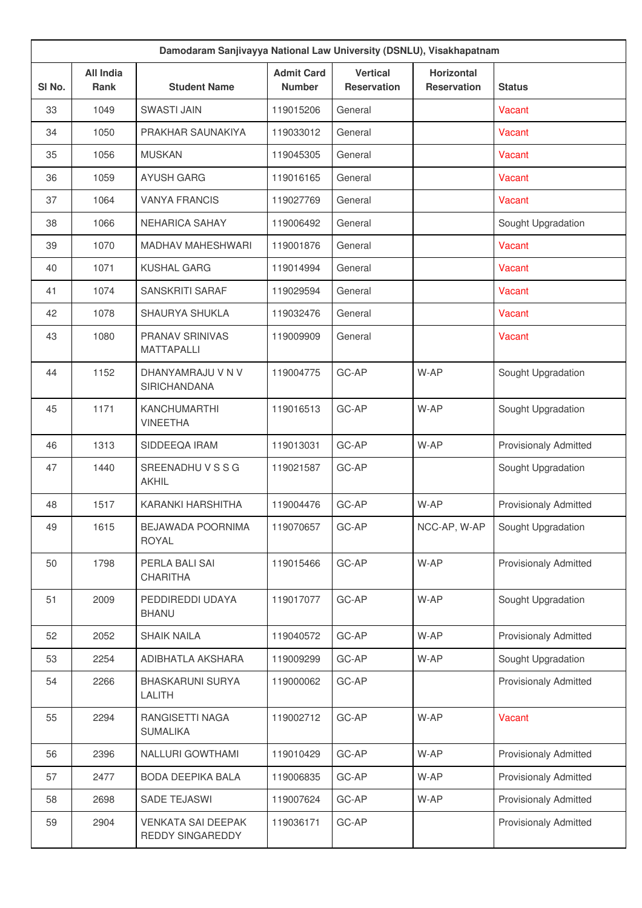| Damodaram Sanjivayya National Law University (DSNLU), Visakhapatnam |                                 |                                               |                                    |                                       |                                         |                              |  |
|---------------------------------------------------------------------|---------------------------------|-----------------------------------------------|------------------------------------|---------------------------------------|-----------------------------------------|------------------------------|--|
| SI No.                                                              | <b>All India</b><br><b>Rank</b> | <b>Student Name</b>                           | <b>Admit Card</b><br><b>Number</b> | <b>Vertical</b><br><b>Reservation</b> | <b>Horizontal</b><br><b>Reservation</b> | <b>Status</b>                |  |
| 33                                                                  | 1049                            | <b>SWASTI JAIN</b>                            | 119015206                          | General                               |                                         | Vacant                       |  |
| 34                                                                  | 1050                            | PRAKHAR SAUNAKIYA                             | 119033012                          | General                               |                                         | Vacant                       |  |
| 35                                                                  | 1056                            | <b>MUSKAN</b>                                 | 119045305                          | General                               |                                         | Vacant                       |  |
| 36                                                                  | 1059                            | <b>AYUSH GARG</b>                             | 119016165                          | General                               |                                         | Vacant                       |  |
| 37                                                                  | 1064                            | <b>VANYA FRANCIS</b>                          | 119027769                          | General                               |                                         | Vacant                       |  |
| 38                                                                  | 1066                            | <b>NEHARICA SAHAY</b>                         | 119006492                          | General                               |                                         | Sought Upgradation           |  |
| 39                                                                  | 1070                            | <b>MADHAV MAHESHWARI</b>                      | 119001876                          | General                               |                                         | Vacant                       |  |
| 40                                                                  | 1071                            | <b>KUSHAL GARG</b>                            | 119014994                          | General                               |                                         | Vacant                       |  |
| 41                                                                  | 1074                            | SANSKRITI SARAF                               | 119029594                          | General                               |                                         | Vacant                       |  |
| 42                                                                  | 1078                            | SHAURYA SHUKLA                                | 119032476                          | General                               |                                         | Vacant                       |  |
| 43                                                                  | 1080                            | <b>PRANAV SRINIVAS</b><br><b>MATTAPALLI</b>   | 119009909                          | General                               |                                         | Vacant                       |  |
| 44                                                                  | 1152                            | DHANYAMRAJU V N V<br><b>SIRICHANDANA</b>      | 119004775                          | GC-AP                                 | W-AP                                    | Sought Upgradation           |  |
| 45                                                                  | 1171                            | <b>KANCHUMARTHI</b><br><b>VINEETHA</b>        | 119016513                          | GC-AP                                 | W-AP                                    | Sought Upgradation           |  |
| 46                                                                  | 1313                            | SIDDEEQA IRAM                                 | 119013031                          | GC-AP                                 | W-AP                                    | <b>Provisionaly Admitted</b> |  |
| 47                                                                  | 1440                            | SREENADHUVSSG<br><b>AKHIL</b>                 | 119021587                          | GC-AP                                 |                                         | Sought Upgradation           |  |
| 48                                                                  | 1517                            | KARANKI HARSHITHA                             | 119004476                          | GC-AP                                 | W-AP                                    | <b>Provisionaly Admitted</b> |  |
| 49                                                                  | 1615                            | BEJAWADA POORNIMA<br><b>ROYAL</b>             | 119070657                          | GC-AP                                 | NCC-AP, W-AP                            | Sought Upgradation           |  |
| 50                                                                  | 1798                            | PERLA BALI SAI<br><b>CHARITHA</b>             | 119015466                          | GC-AP                                 | W-AP                                    | <b>Provisionaly Admitted</b> |  |
| 51                                                                  | 2009                            | PEDDIREDDI UDAYA<br><b>BHANU</b>              | 119017077                          | GC-AP                                 | W-AP                                    | Sought Upgradation           |  |
| 52                                                                  | 2052                            | <b>SHAIK NAILA</b>                            | 119040572                          | GC-AP                                 | W-AP                                    | <b>Provisionaly Admitted</b> |  |
| 53                                                                  | 2254                            | ADIBHATLA AKSHARA                             | 119009299                          | GC-AP                                 | W-AP                                    | Sought Upgradation           |  |
| 54                                                                  | 2266                            | <b>BHASKARUNI SURYA</b><br>LALITH             | 119000062                          | GC-AP                                 |                                         | <b>Provisionaly Admitted</b> |  |
| 55                                                                  | 2294                            | RANGISETTI NAGA<br><b>SUMALIKA</b>            | 119002712                          | GC-AP                                 | W-AP                                    | Vacant                       |  |
| 56                                                                  | 2396                            | NALLURI GOWTHAMI                              | 119010429                          | GC-AP                                 | W-AP                                    | <b>Provisionaly Admitted</b> |  |
| 57                                                                  | 2477                            | BODA DEEPIKA BALA                             | 119006835                          | GC-AP                                 | W-AP                                    | <b>Provisionaly Admitted</b> |  |
| 58                                                                  | 2698                            | SADE TEJASWI                                  | 119007624                          | GC-AP                                 | W-AP                                    | <b>Provisionaly Admitted</b> |  |
| 59                                                                  | 2904                            | <b>VENKATA SAI DEEPAK</b><br>REDDY SINGAREDDY | 119036171                          | GC-AP                                 |                                         | <b>Provisionaly Admitted</b> |  |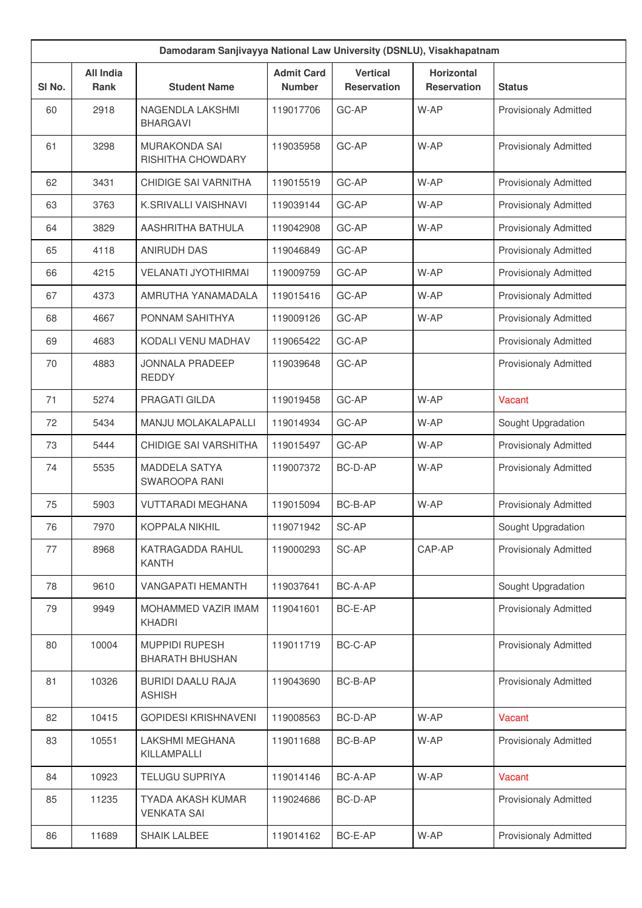| Damodaram Sanjivayya National Law University (DSNLU), Visakhapatnam |                                 |                                                 |                                    |                                       |                                         |                              |  |
|---------------------------------------------------------------------|---------------------------------|-------------------------------------------------|------------------------------------|---------------------------------------|-----------------------------------------|------------------------------|--|
| SI No.                                                              | <b>All India</b><br><b>Rank</b> | <b>Student Name</b>                             | <b>Admit Card</b><br><b>Number</b> | <b>Vertical</b><br><b>Reservation</b> | <b>Horizontal</b><br><b>Reservation</b> | <b>Status</b>                |  |
| 60                                                                  | 2918                            | NAGENDLA LAKSHMI<br><b>BHARGAVI</b>             | 119017706                          | GC-AP                                 | W-AP                                    | <b>Provisionaly Admitted</b> |  |
| 61                                                                  | 3298                            | <b>MURAKONDA SAI</b><br>RISHITHA CHOWDARY       | 119035958                          | GC-AP                                 | W-AP                                    | <b>Provisionaly Admitted</b> |  |
| 62                                                                  | 3431                            | CHIDIGE SAI VARNITHA                            | 119015519                          | GC-AP                                 | W-AP                                    | <b>Provisionaly Admitted</b> |  |
| 63                                                                  | 3763                            | K.SRIVALLI VAISHNAVI                            | 119039144                          | GC-AP                                 | W-AP                                    | <b>Provisionaly Admitted</b> |  |
| 64                                                                  | 3829                            | AASHRITHA BATHULA                               | 119042908                          | GC-AP                                 | W-AP                                    | <b>Provisionaly Admitted</b> |  |
| 65                                                                  | 4118                            | <b>ANIRUDH DAS</b>                              | 119046849                          | GC-AP                                 |                                         | <b>Provisionaly Admitted</b> |  |
| 66                                                                  | 4215                            | <b>VELANATI JYOTHIRMAI</b>                      | 119009759                          | GC-AP                                 | W-AP                                    | <b>Provisionaly Admitted</b> |  |
| 67                                                                  | 4373                            | AMRUTHA YANAMADALA                              | 119015416                          | GC-AP                                 | W-AP                                    | <b>Provisionaly Admitted</b> |  |
| 68                                                                  | 4667                            | PONNAM SAHITHYA                                 | 119009126                          | GC-AP                                 | W-AP                                    | <b>Provisionaly Admitted</b> |  |
| 69                                                                  | 4683                            | KODALI VENU MADHAV                              | 119065422                          | GC-AP                                 |                                         | <b>Provisionaly Admitted</b> |  |
| 70                                                                  | 4883                            | <b>JONNALA PRADEEP</b><br><b>REDDY</b>          | 119039648                          | GC-AP                                 |                                         | <b>Provisionaly Admitted</b> |  |
| 71                                                                  | 5274                            | PRAGATI GILDA                                   | 119019458                          | GC-AP                                 | W-AP                                    | Vacant                       |  |
| 72                                                                  | 5434                            | <b>MANJU MOLAKALAPALLI</b>                      | 119014934                          | GC-AP                                 | W-AP                                    | Sought Upgradation           |  |
| 73                                                                  | 5444                            | CHIDIGE SAI VARSHITHA                           | 119015497                          | GC-AP                                 | W-AP                                    | Provisionaly Admitted        |  |
| 74                                                                  | 5535                            | <b>MADDELA SATYA</b><br>SWAROOPA RANI           | 119007372                          | BC-D-AP                               | W-AP                                    | <b>Provisionaly Admitted</b> |  |
| 75                                                                  | 5903                            | <b>VUTTARADI MEGHANA</b>                        | 119015094                          | BC-B-AP                               | W-AP                                    | <b>Provisionaly Admitted</b> |  |
| 76                                                                  | 7970                            | <b>KOPPALA NIKHIL</b>                           | 119071942                          | SC-AP                                 |                                         | Sought Upgradation           |  |
| 77                                                                  | 8968                            | KATRAGADDA RAHUL<br><b>KANTH</b>                | 119000293                          | SC-AP                                 | CAP-AP                                  | <b>Provisionaly Admitted</b> |  |
| 78                                                                  | 9610                            | <b>VANGAPATI HEMANTH</b>                        | 119037641                          | BC-A-AP                               |                                         | Sought Upgradation           |  |
| 79                                                                  | 9949                            | MOHAMMED VAZIR IMAM<br>KHADRI                   | 119041601                          | BC-E-AP                               |                                         | <b>Provisionaly Admitted</b> |  |
| 80                                                                  | 10004                           | <b>MUPPIDI RUPESH</b><br><b>BHARATH BHUSHAN</b> | 119011719                          | BC-C-AP                               |                                         | <b>Provisionaly Admitted</b> |  |
| 81                                                                  | 10326                           | <b>BURIDI DAALU RAJA</b><br><b>ASHISH</b>       | 119043690                          | BC-B-AP                               |                                         | Provisionaly Admitted        |  |
| 82                                                                  | 10415                           | <b>GOPIDESI KRISHNAVENI</b>                     | 119008563                          | BC-D-AP                               | W-AP                                    | Vacant                       |  |
| 83                                                                  | 10551                           | LAKSHMI MEGHANA<br>KILLAMPALLI                  | 119011688                          | BC-B-AP                               | W-AP                                    | <b>Provisionaly Admitted</b> |  |
| 84                                                                  | 10923                           | <b>TELUGU SUPRIYA</b>                           | 119014146                          | BC-A-AP                               | W-AP                                    | Vacant                       |  |
| 85                                                                  | 11235                           | TYADA AKASH KUMAR<br><b>VENKATA SAI</b>         | 119024686                          | BC-D-AP                               |                                         | <b>Provisionaly Admitted</b> |  |
| 86                                                                  | 11689                           | <b>SHAIK LALBEE</b>                             | 119014162                          | BC-E-AP                               | W-AP                                    | Provisionaly Admitted        |  |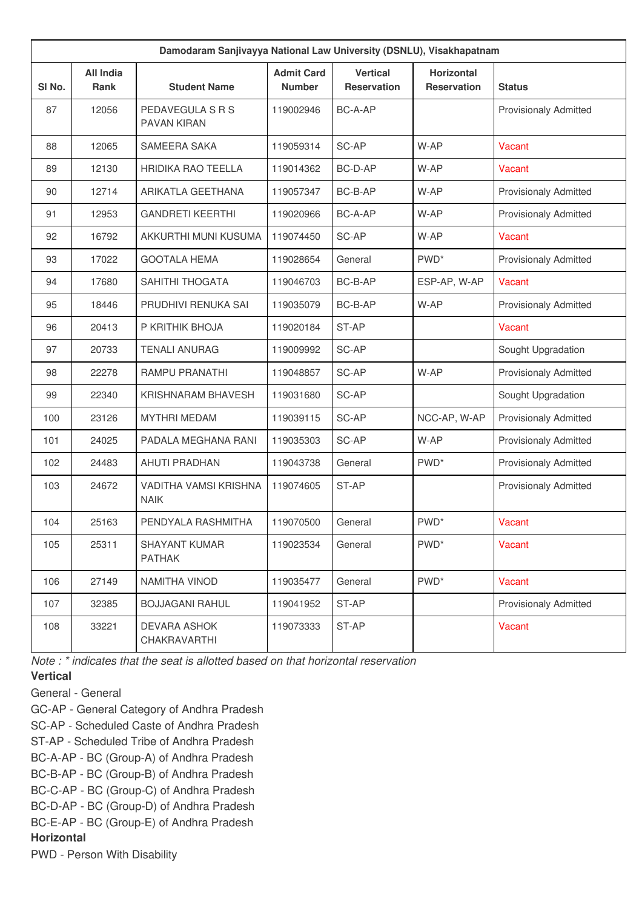| Damodaram Sanjivayya National Law University (DSNLU), Visakhapatnam |                          |                                       |                                    |                                       |                                         |                              |  |
|---------------------------------------------------------------------|--------------------------|---------------------------------------|------------------------------------|---------------------------------------|-----------------------------------------|------------------------------|--|
| SI No.                                                              | <b>All India</b><br>Rank | <b>Student Name</b>                   | <b>Admit Card</b><br><b>Number</b> | <b>Vertical</b><br><b>Reservation</b> | <b>Horizontal</b><br><b>Reservation</b> | <b>Status</b>                |  |
| 87                                                                  | 12056                    | PEDAVEGULA S R S<br>PAVAN KIRAN       | 119002946                          | BC-A-AP                               |                                         | <b>Provisionaly Admitted</b> |  |
| 88                                                                  | 12065                    | SAMEERA SAKA                          | 119059314                          | SC-AP                                 | W-AP                                    | Vacant                       |  |
| 89                                                                  | 12130                    | <b>HRIDIKA RAO TEELLA</b>             | 119014362                          | BC-D-AP                               | W-AP                                    | Vacant                       |  |
| 90                                                                  | 12714                    | ARIKATLA GEETHANA                     | 119057347                          | BC-B-AP                               | W-AP                                    | <b>Provisionaly Admitted</b> |  |
| 91                                                                  | 12953                    | <b>GANDRETI KEERTHI</b>               | 119020966                          | BC-A-AP                               | W-AP                                    | <b>Provisionaly Admitted</b> |  |
| 92                                                                  | 16792                    | AKKURTHI MUNI KUSUMA                  | 119074450                          | SC-AP                                 | W-AP                                    | Vacant                       |  |
| 93                                                                  | 17022                    | <b>GOOTALA HEMA</b>                   | 119028654                          | General                               | PWD <sup>*</sup>                        | <b>Provisionaly Admitted</b> |  |
| 94                                                                  | 17680                    | SAHITHI THOGATA                       | 119046703                          | BC-B-AP                               | ESP-AP, W-AP                            | Vacant                       |  |
| 95                                                                  | 18446                    | PRUDHIVI RENUKA SAI                   | 119035079                          | BC-B-AP                               | W-AP                                    | <b>Provisionaly Admitted</b> |  |
| 96                                                                  | 20413                    | P KRITHIK BHOJA                       | 119020184                          | ST-AP                                 |                                         | Vacant                       |  |
| 97                                                                  | 20733                    | <b>TENALI ANURAG</b>                  | 119009992                          | SC-AP                                 |                                         | Sought Upgradation           |  |
| 98                                                                  | 22278                    | RAMPU PRANATHI                        | 119048857                          | SC-AP                                 | W-AP                                    | <b>Provisionaly Admitted</b> |  |
| 99                                                                  | 22340                    | KRISHNARAM BHAVESH                    | 119031680                          | SC-AP                                 |                                         | Sought Upgradation           |  |
| 100                                                                 | 23126                    | <b>MYTHRI MEDAM</b>                   | 119039115                          | SC-AP                                 | NCC-AP, W-AP                            | <b>Provisionaly Admitted</b> |  |
| 101                                                                 | 24025                    | PADALA MEGHANA RANI                   | 119035303                          | SC-AP                                 | W-AP                                    | <b>Provisionaly Admitted</b> |  |
| 102                                                                 | 24483                    | <b>AHUTI PRADHAN</b>                  | 119043738                          | General                               | PWD <sup>*</sup>                        | <b>Provisionaly Admitted</b> |  |
| 103                                                                 | 24672                    | VADITHA VAMSI KRISHNA<br><b>NAIK</b>  | 119074605                          | ST-AP                                 |                                         | <b>Provisionaly Admitted</b> |  |
| 104                                                                 | 25163                    | PENDYALA RASHMITHA                    | 119070500                          | General                               | PWD <sup>*</sup>                        | Vacant                       |  |
| 105                                                                 | 25311                    | <b>SHAYANT KUMAR</b><br><b>PATHAK</b> | 119023534                          | General                               | PWD <sup>*</sup>                        | Vacant                       |  |
| 106                                                                 | 27149                    | NAMITHA VINOD                         | 119035477                          | General                               | PWD <sup>*</sup>                        | Vacant                       |  |
| 107                                                                 | 32385                    | <b>BOJJAGANI RAHUL</b>                | 119041952                          | ST-AP                                 |                                         | <b>Provisionaly Admitted</b> |  |
| 108                                                                 | 33221                    | <b>DEVARA ASHOK</b><br>CHAKRAVARTHI   | 119073333                          | ST-AP                                 |                                         | Vacant                       |  |

*Note : \* indicates that the seat is allotted based on that horizontal reservation*

## **Vertical**

General - General

GC-AP - General Category of Andhra Pradesh

SC-AP - Scheduled Caste of Andhra Pradesh

ST-AP - Scheduled Tribe of Andhra Pradesh

BC-A-AP - BC (Group-A) of Andhra Pradesh

BC-B-AP - BC (Group-B) of Andhra Pradesh

BC-C-AP - BC (Group-C) of Andhra Pradesh

BC-D-AP - BC (Group-D) of Andhra Pradesh

BC-E-AP - BC (Group-E) of Andhra Pradesh

## **Horizontal**

PWD - Person With Disability